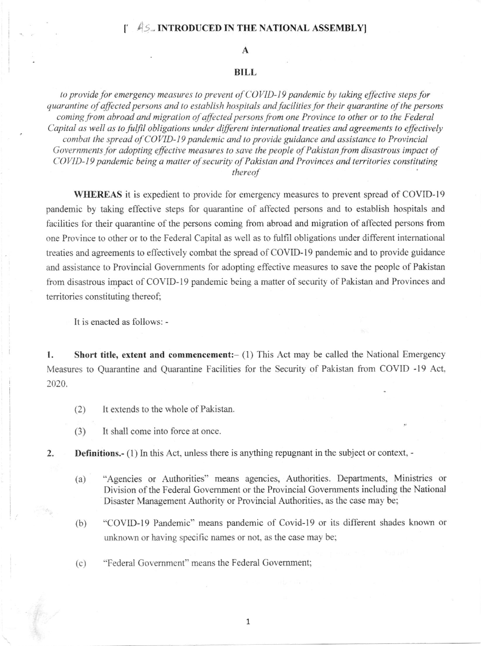## $45$ . INTRODUCED IN THE NATIONAL ASSEMBLY

## A

## BILL

to provide for emergency measures to prevent of COVID-19 pandemic by taking effective steps for quarantine of affected persons and to establish hospitals and facilities for their quarantine of the persons coming from abroad and migration of affected persons from one Province to other or to the Federal Capital as well as to fulfil obligations under different international treaties and agreements to effectively combat the spread of COVID-19 pandemic and to provide guidance and assistance to Provincial Governments for adopting effective measures to save the people of Pakistan from disastrous impact of COVID-19 pandemic being a matter of security of Pakistan and Provinces and territories constituting thereof

WHEREAS it is expedient to provide for emergency measures to prevent spread of COVID-19 pandemic by taking effective steps for quarantine of affected persons and to establish hospitals and facilities for their quarantine of the persons coming from abroad and migration of affected persons from one Province to other or to the Federal Capital as well as to fulfil obligations under different intemational treaties and agreements to effectively combat the spread of COVID-19 pandemic and to provide guidance and assistance to Provincial Govemments for adopting effective measures to save the people of Pakistan from disastrous impact of COVID-19 pandemic being a matter of security of Pakistan and Provinces and territories constituting thereof;

It is enacted as follows: -

1. Short title, extent and commencement: (1) This Act may be called the National Emergency Measures to Quarantine and Quarantine Facilities for the Security of Pakistan from COVID -19 Act, 2020.

- (2) It extends to the whole of Pakistan.
- (3) It shall come into force at once.
- 2 Definitions.- (1) In this Act, unless there is anything repugnant in the subject or context, -
	- (a) "Agencies or Authorities" means agencies, Authorities. Departments, Ministries or Division of the Federal Govenrment or the Provincial Govemments including the National Disaster Management Authority or Provincial Authorities, as the case may be;
	- (b) "COVID-19 Pandemic" means pandemic of Covid-19 or its different shades known or unknown or having specific names or not, as the case may be;
	- (c) "Federal Government" means the Federal Covernment;

1